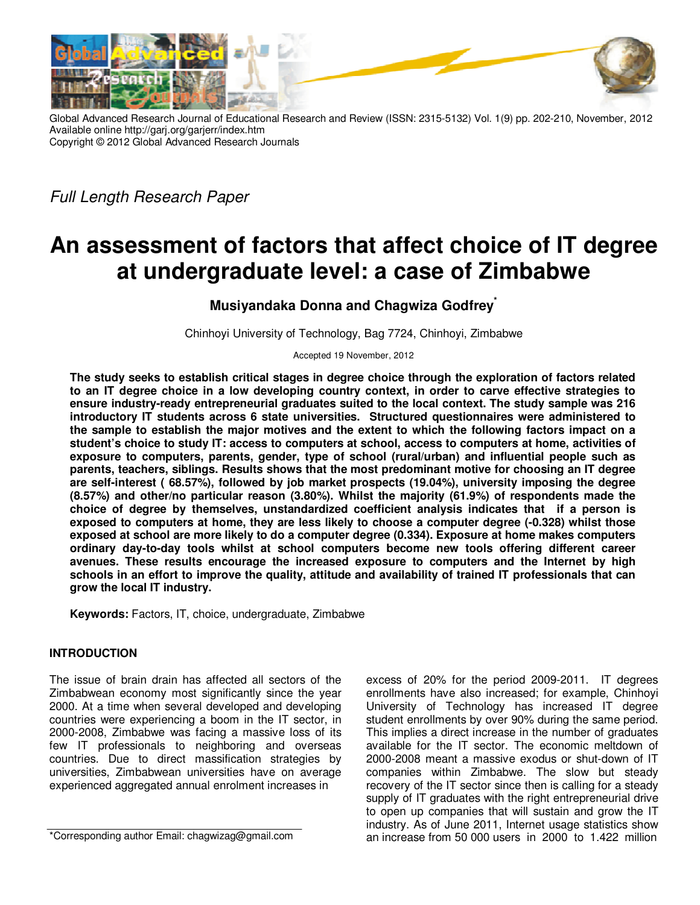

Global Advanced Research Journal of Educational Research and Review (ISSN: 2315-5132) Vol. 1(9) pp. 202-210, November, 2012 Available online http://garj.org/garjerr/index.htm Copyright © 2012 Global Advanced Research Journals

Full Length Research Paper

# **An assessment of factors that affect choice of IT degree at undergraduate level: a case of Zimbabwe**

**Musiyandaka Donna and Chagwiza Godfrey\***

Chinhoyi University of Technology, Bag 7724, Chinhoyi, Zimbabwe

Accepted 19 November, 2012

**The study seeks to establish critical stages in degree choice through the exploration of factors related to an IT degree choice in a low developing country context, in order to carve effective strategies to ensure industry-ready entrepreneurial graduates suited to the local context. The study sample was 216 introductory IT students across 6 state universities. Structured questionnaires were administered to the sample to establish the major motives and the extent to which the following factors impact on a student's choice to study IT: access to computers at school, access to computers at home, activities of exposure to computers, parents, gender, type of school (rural/urban) and influential people such as parents, teachers, siblings. Results shows that the most predominant motive for choosing an IT degree are self-interest ( 68.57%), followed by job market prospects (19.04%), university imposing the degree (8.57%) and other/no particular reason (3.80%). Whilst the majority (61.9%) of respondents made the choice of degree by themselves, unstandardized coefficient analysis indicates that if a person is exposed to computers at home, they are less likely to choose a computer degree (-0.328) whilst those exposed at school are more likely to do a computer degree (0.334). Exposure at home makes computers ordinary day-to-day tools whilst at school computers become new tools offering different career avenues. These results encourage the increased exposure to computers and the Internet by high schools in an effort to improve the quality, attitude and availability of trained IT professionals that can grow the local IT industry.** 

**Keywords:** Factors, IT, choice, undergraduate, Zimbabwe

## **INTRODUCTION**

The issue of brain drain has affected all sectors of the Zimbabwean economy most significantly since the year 2000. At a time when several developed and developing countries were experiencing a boom in the IT sector, in 2000-2008, Zimbabwe was facing a massive loss of its few IT professionals to neighboring and overseas countries. Due to direct massification strategies by universities, Zimbabwean universities have on average experienced aggregated annual enrolment increases in

\*Corresponding author Email: chagwizag@gmail.com

excess of 20% for the period 2009-2011. IT degrees enrollments have also increased; for example, Chinhoyi University of Technology has increased IT degree student enrollments by over 90% during the same period. This implies a direct increase in the number of graduates available for the IT sector. The economic meltdown of 2000-2008 meant a massive exodus or shut-down of IT companies within Zimbabwe. The slow but steady recovery of the IT sector since then is calling for a steady supply of IT graduates with the right entrepreneurial drive to open up companies that will sustain and grow the IT industry. As of June 2011, Internet usage statistics show an increase from 50 000 users in 2000 to 1.422 million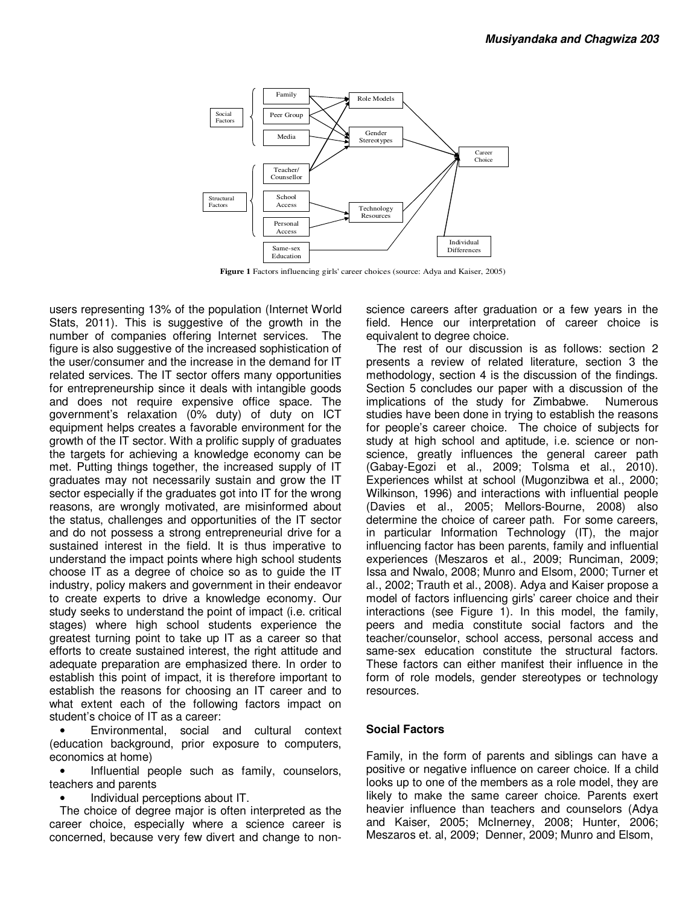

 **Figure 1** Factors influencing girls' career choices (source: Adya and Kaiser, 2005)

users representing 13% of the population (Internet World Stats, 2011). This is suggestive of the growth in the number of companies offering Internet services. The figure is also suggestive of the increased sophistication of the user/consumer and the increase in the demand for IT related services. The IT sector offers many opportunities for entrepreneurship since it deals with intangible goods and does not require expensive office space. The government's relaxation (0% duty) of duty on ICT equipment helps creates a favorable environment for the growth of the IT sector. With a prolific supply of graduates the targets for achieving a knowledge economy can be met. Putting things together, the increased supply of IT graduates may not necessarily sustain and grow the IT sector especially if the graduates got into IT for the wrong reasons, are wrongly motivated, are misinformed about the status, challenges and opportunities of the IT sector and do not possess a strong entrepreneurial drive for a sustained interest in the field. It is thus imperative to understand the impact points where high school students choose IT as a degree of choice so as to guide the IT industry, policy makers and government in their endeavor to create experts to drive a knowledge economy. Our study seeks to understand the point of impact (i.e. critical stages) where high school students experience the greatest turning point to take up IT as a career so that efforts to create sustained interest, the right attitude and adequate preparation are emphasized there. In order to establish this point of impact, it is therefore important to establish the reasons for choosing an IT career and to what extent each of the following factors impact on student's choice of IT as a career:

• Environmental, social and cultural context (education background, prior exposure to computers, economics at home)

Influential people such as family, counselors, teachers and parents

• Individual perceptions about IT.

The choice of degree major is often interpreted as the career choice, especially where a science career is concerned, because very few divert and change to nonscience careers after graduation or a few years in the field. Hence our interpretation of career choice is equivalent to degree choice.

The rest of our discussion is as follows: section 2 presents a review of related literature, section 3 the methodology, section 4 is the discussion of the findings. Section 5 concludes our paper with a discussion of the implications of the study for Zimbabwe. Numerous studies have been done in trying to establish the reasons for people's career choice. The choice of subjects for study at high school and aptitude, i.e. science or nonscience, greatly influences the general career path (Gabay-Egozi et al., 2009; Tolsma et al., 2010). Experiences whilst at school (Mugonzibwa et al., 2000; Wilkinson, 1996) and interactions with influential people (Davies et al., 2005; Mellors-Bourne, 2008) also determine the choice of career path. For some careers, in particular Information Technology (IT), the major influencing factor has been parents, family and influential experiences (Meszaros et al., 2009; Runciman, 2009; Issa and Nwalo, 2008; Munro and Elsom, 2000; Turner et al., 2002; Trauth et al., 2008). Adya and Kaiser propose a model of factors influencing girls' career choice and their interactions (see Figure 1). In this model, the family, peers and media constitute social factors and the teacher/counselor, school access, personal access and same-sex education constitute the structural factors. These factors can either manifest their influence in the form of role models, gender stereotypes or technology resources.

### **Social Factors**

Family, in the form of parents and siblings can have a positive or negative influence on career choice. If a child looks up to one of the members as a role model, they are likely to make the same career choice. Parents exert heavier influence than teachers and counselors (Adya and Kaiser, 2005; McInerney, 2008; Hunter, 2006; Meszaros et. al, 2009; Denner, 2009; Munro and Elsom,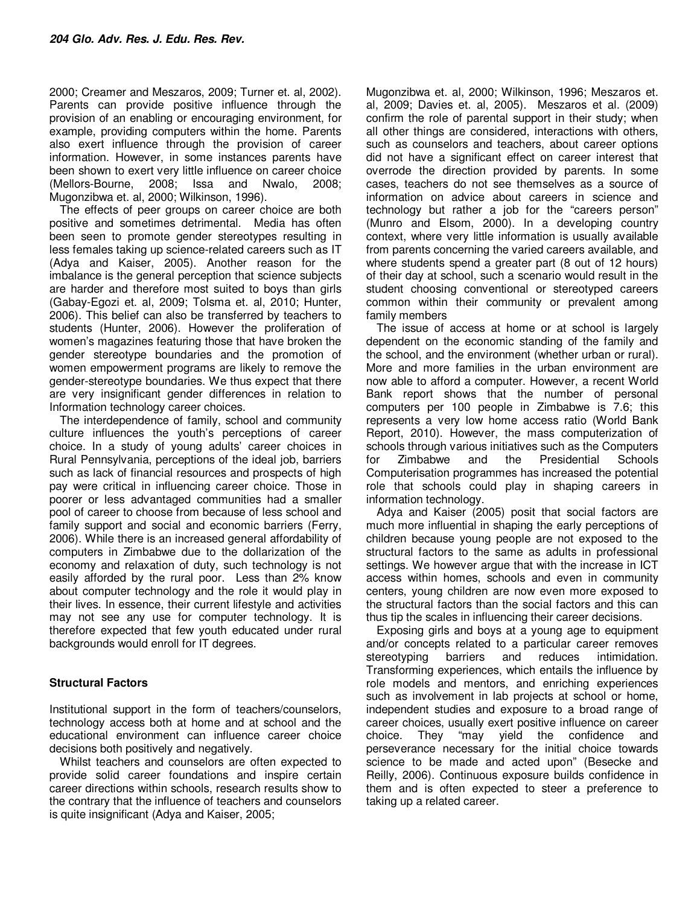2000; Creamer and Meszaros, 2009; Turner et. al, 2002). Parents can provide positive influence through the provision of an enabling or encouraging environment, for example, providing computers within the home. Parents also exert influence through the provision of career information. However, in some instances parents have been shown to exert very little influence on career choice (Mellors-Bourne, 2008; Issa and Nwalo, 2008; Mugonzibwa et. al, 2000; Wilkinson, 1996).

The effects of peer groups on career choice are both positive and sometimes detrimental. Media has often been seen to promote gender stereotypes resulting in less females taking up science-related careers such as IT (Adya and Kaiser, 2005). Another reason for the imbalance is the general perception that science subjects are harder and therefore most suited to boys than girls (Gabay-Egozi et. al, 2009; Tolsma et. al, 2010; Hunter, 2006). This belief can also be transferred by teachers to students (Hunter, 2006). However the proliferation of women's magazines featuring those that have broken the gender stereotype boundaries and the promotion of women empowerment programs are likely to remove the gender-stereotype boundaries. We thus expect that there are very insignificant gender differences in relation to Information technology career choices.

The interdependence of family, school and community culture influences the youth's perceptions of career choice. In a study of young adults' career choices in Rural Pennsylvania, perceptions of the ideal job, barriers such as lack of financial resources and prospects of high pay were critical in influencing career choice. Those in poorer or less advantaged communities had a smaller pool of career to choose from because of less school and family support and social and economic barriers (Ferry, 2006). While there is an increased general affordability of computers in Zimbabwe due to the dollarization of the economy and relaxation of duty, such technology is not easily afforded by the rural poor. Less than 2% know about computer technology and the role it would play in their lives. In essence, their current lifestyle and activities may not see any use for computer technology. It is therefore expected that few youth educated under rural backgrounds would enroll for IT degrees.

### **Structural Factors**

Institutional support in the form of teachers/counselors, technology access both at home and at school and the educational environment can influence career choice decisions both positively and negatively.

Whilst teachers and counselors are often expected to provide solid career foundations and inspire certain career directions within schools, research results show to the contrary that the influence of teachers and counselors is quite insignificant (Adya and Kaiser, 2005;

Mugonzibwa et. al, 2000; Wilkinson, 1996; Meszaros et. al, 2009; Davies et. al, 2005). Meszaros et al. (2009) confirm the role of parental support in their study; when all other things are considered, interactions with others, such as counselors and teachers, about career options did not have a significant effect on career interest that overrode the direction provided by parents. In some cases, teachers do not see themselves as a source of information on advice about careers in science and technology but rather a job for the "careers person" (Munro and Elsom, 2000). In a developing country context, where very little information is usually available from parents concerning the varied careers available, and where students spend a greater part (8 out of 12 hours) of their day at school, such a scenario would result in the student choosing conventional or stereotyped careers common within their community or prevalent among family members

The issue of access at home or at school is largely dependent on the economic standing of the family and the school, and the environment (whether urban or rural). More and more families in the urban environment are now able to afford a computer. However, a recent World Bank report shows that the number of personal computers per 100 people in Zimbabwe is 7.6; this represents a very low home access ratio (World Bank Report, 2010). However, the mass computerization of schools through various initiatives such as the Computers for Zimbabwe and the Presidential Schools Computerisation programmes has increased the potential role that schools could play in shaping careers in information technology.

Adya and Kaiser (2005) posit that social factors are much more influential in shaping the early perceptions of children because young people are not exposed to the structural factors to the same as adults in professional settings. We however argue that with the increase in ICT access within homes, schools and even in community centers, young children are now even more exposed to the structural factors than the social factors and this can thus tip the scales in influencing their career decisions.

Exposing girls and boys at a young age to equipment and/or concepts related to a particular career removes stereotyping barriers and reduces intimidation. Transforming experiences, which entails the influence by role models and mentors, and enriching experiences such as involvement in lab projects at school or home, independent studies and exposure to a broad range of career choices, usually exert positive influence on career choice. They "may yield the confidence and perseverance necessary for the initial choice towards science to be made and acted upon" (Besecke and Reilly, 2006). Continuous exposure builds confidence in them and is often expected to steer a preference to taking up a related career.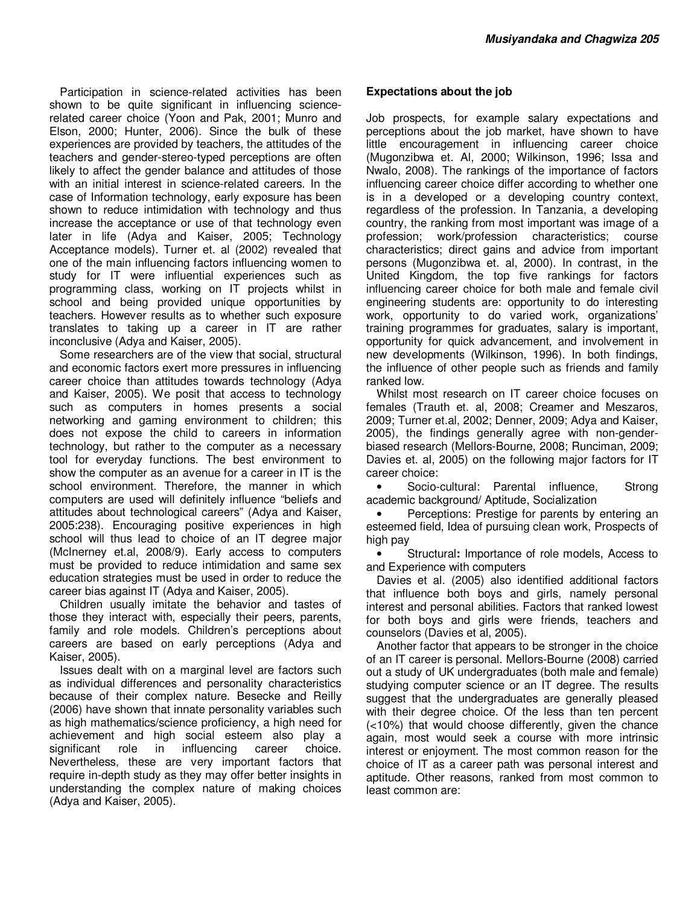Participation in science-related activities has been shown to be quite significant in influencing sciencerelated career choice (Yoon and Pak, 2001; Munro and Elson, 2000; Hunter, 2006). Since the bulk of these experiences are provided by teachers, the attitudes of the teachers and gender-stereo-typed perceptions are often likely to affect the gender balance and attitudes of those with an initial interest in science-related careers. In the case of Information technology, early exposure has been shown to reduce intimidation with technology and thus increase the acceptance or use of that technology even later in life (Adya and Kaiser, 2005; Technology Acceptance models). Turner et. al (2002) revealed that one of the main influencing factors influencing women to study for IT were influential experiences such as programming class, working on IT projects whilst in school and being provided unique opportunities by teachers. However results as to whether such exposure translates to taking up a career in IT are rather inconclusive (Adya and Kaiser, 2005).

Some researchers are of the view that social, structural and economic factors exert more pressures in influencing career choice than attitudes towards technology (Adya and Kaiser, 2005). We posit that access to technology such as computers in homes presents a social networking and gaming environment to children; this does not expose the child to careers in information technology, but rather to the computer as a necessary tool for everyday functions. The best environment to show the computer as an avenue for a career in IT is the school environment. Therefore, the manner in which computers are used will definitely influence "beliefs and attitudes about technological careers" (Adya and Kaiser, 2005:238). Encouraging positive experiences in high school will thus lead to choice of an IT degree major (McInerney et.al, 2008/9). Early access to computers must be provided to reduce intimidation and same sex education strategies must be used in order to reduce the career bias against IT (Adya and Kaiser, 2005).

Children usually imitate the behavior and tastes of those they interact with, especially their peers, parents, family and role models. Children's perceptions about careers are based on early perceptions (Adya and Kaiser, 2005).

Issues dealt with on a marginal level are factors such as individual differences and personality characteristics because of their complex nature. Besecke and Reilly (2006) have shown that innate personality variables such as high mathematics/science proficiency, a high need for achievement and high social esteem also play a significant role in influencing career choice. Nevertheless, these are very important factors that require in-depth study as they may offer better insights in understanding the complex nature of making choices (Adya and Kaiser, 2005).

## **Expectations about the job**

Job prospects, for example salary expectations and perceptions about the job market, have shown to have little encouragement in influencing career choice (Mugonzibwa et. Al, 2000; Wilkinson, 1996; Issa and Nwalo, 2008). The rankings of the importance of factors influencing career choice differ according to whether one is in a developed or a developing country context, regardless of the profession. In Tanzania, a developing country, the ranking from most important was image of a profession; work/profession characteristics; course characteristics; direct gains and advice from important persons (Mugonzibwa et. al, 2000). In contrast, in the United Kingdom, the top five rankings for factors influencing career choice for both male and female civil engineering students are: opportunity to do interesting work, opportunity to do varied work, organizations' training programmes for graduates, salary is important, opportunity for quick advancement, and involvement in new developments (Wilkinson, 1996). In both findings, the influence of other people such as friends and family ranked low.

Whilst most research on IT career choice focuses on females (Trauth et. al, 2008; Creamer and Meszaros, 2009; Turner et.al, 2002; Denner, 2009; Adya and Kaiser, 2005), the findings generally agree with non-genderbiased research (Mellors-Bourne, 2008; Runciman, 2009; Davies et. al, 2005) on the following major factors for IT career choice:

• Socio-cultural: Parental influence, Strong academic background/ Aptitude, Socialization

Perceptions: Prestige for parents by entering an esteemed field, Idea of pursuing clean work, Prospects of high pay

• Structural**:** Importance of role models, Access to and Experience with computers

Davies et al. (2005) also identified additional factors that influence both boys and girls, namely personal interest and personal abilities. Factors that ranked lowest for both boys and girls were friends, teachers and counselors (Davies et al, 2005).

Another factor that appears to be stronger in the choice of an IT career is personal. Mellors-Bourne (2008) carried out a study of UK undergraduates (both male and female) studying computer science or an IT degree. The results suggest that the undergraduates are generally pleased with their degree choice. Of the less than ten percent (<10%) that would choose differently, given the chance again, most would seek a course with more intrinsic interest or enjoyment. The most common reason for the choice of IT as a career path was personal interest and aptitude. Other reasons, ranked from most common to least common are: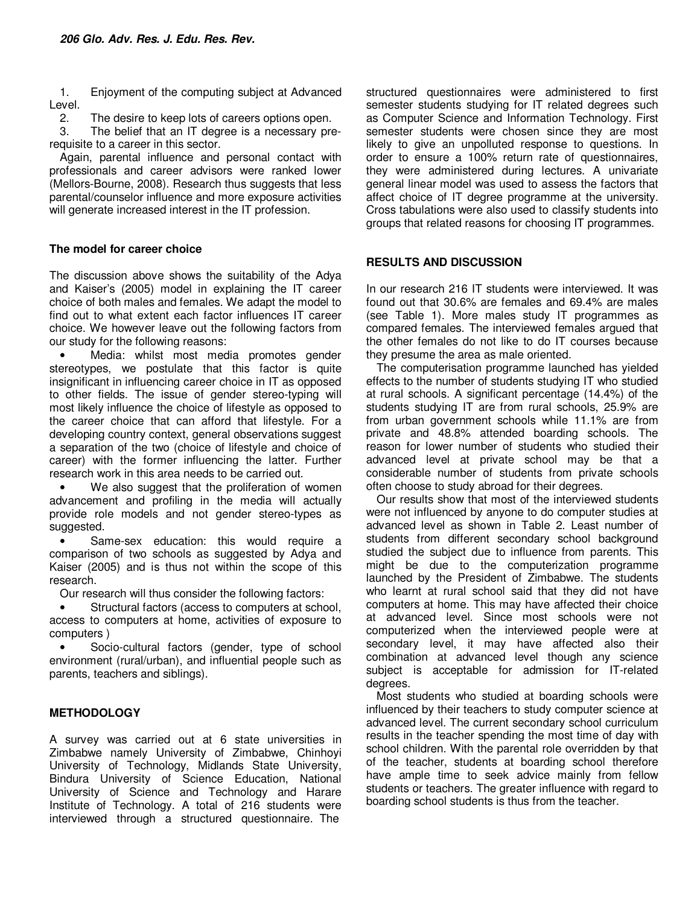1. Enjoyment of the computing subject at Advanced Level.

2. The desire to keep lots of careers options open.

3. The belief that an IT degree is a necessary prerequisite to a career in this sector.

Again, parental influence and personal contact with professionals and career advisors were ranked lower (Mellors-Bourne, 2008). Research thus suggests that less parental/counselor influence and more exposure activities will generate increased interest in the IT profession.

### **The model for career choice**

The discussion above shows the suitability of the Adya and Kaiser's (2005) model in explaining the IT career choice of both males and females. We adapt the model to find out to what extent each factor influences IT career choice. We however leave out the following factors from our study for the following reasons:

Media: whilst most media promotes gender stereotypes, we postulate that this factor is quite insignificant in influencing career choice in IT as opposed to other fields. The issue of gender stereo-typing will most likely influence the choice of lifestyle as opposed to the career choice that can afford that lifestyle. For a developing country context, general observations suggest a separation of the two (choice of lifestyle and choice of career) with the former influencing the latter. Further research work in this area needs to be carried out.

We also suggest that the proliferation of women advancement and profiling in the media will actually provide role models and not gender stereo-types as suggested.

Same-sex education: this would require a comparison of two schools as suggested by Adya and Kaiser (2005) and is thus not within the scope of this research.

Our research will thus consider the following factors:

Structural factors (access to computers at school, access to computers at home, activities of exposure to computers )

Socio-cultural factors (gender, type of school environment (rural/urban), and influential people such as parents, teachers and siblings).

## **METHODOLOGY**

A survey was carried out at 6 state universities in Zimbabwe namely University of Zimbabwe, Chinhoyi University of Technology, Midlands State University, Bindura University of Science Education, National University of Science and Technology and Harare Institute of Technology. A total of 216 students were interviewed through a structured questionnaire. The

structured questionnaires were administered to first semester students studying for IT related degrees such as Computer Science and Information Technology. First semester students were chosen since they are most likely to give an unpolluted response to questions. In order to ensure a 100% return rate of questionnaires, they were administered during lectures. A univariate general linear model was used to assess the factors that affect choice of IT degree programme at the university. Cross tabulations were also used to classify students into groups that related reasons for choosing IT programmes.

### **RESULTS AND DISCUSSION**

In our research 216 IT students were interviewed. It was found out that 30.6% are females and 69.4% are males (see Table 1). More males study IT programmes as compared females. The interviewed females argued that the other females do not like to do IT courses because they presume the area as male oriented.

The computerisation programme launched has yielded effects to the number of students studying IT who studied at rural schools. A significant percentage (14.4%) of the students studying IT are from rural schools, 25.9% are from urban government schools while 11.1% are from private and 48.8% attended boarding schools. The reason for lower number of students who studied their advanced level at private school may be that a considerable number of students from private schools often choose to study abroad for their degrees.

Our results show that most of the interviewed students were not influenced by anyone to do computer studies at advanced level as shown in Table 2. Least number of students from different secondary school background studied the subject due to influence from parents. This might be due to the computerization programme launched by the President of Zimbabwe. The students who learnt at rural school said that they did not have computers at home. This may have affected their choice at advanced level. Since most schools were not computerized when the interviewed people were at secondary level, it may have affected also their combination at advanced level though any science subject is acceptable for admission for IT-related degrees.

Most students who studied at boarding schools were influenced by their teachers to study computer science at advanced level. The current secondary school curriculum results in the teacher spending the most time of day with school children. With the parental role overridden by that of the teacher, students at boarding school therefore have ample time to seek advice mainly from fellow students or teachers. The greater influence with regard to boarding school students is thus from the teacher.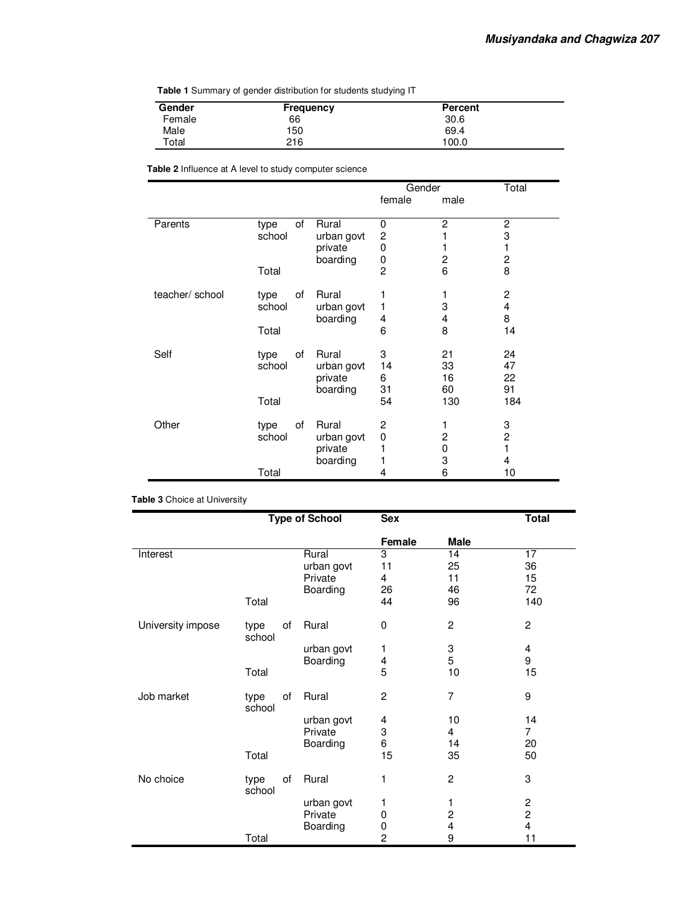**Table 1** Summary of gender distribution for students studying IT

| Gender | Frequency | <b>Percent</b> |  |
|--------|-----------|----------------|--|
|        |           |                |  |
| Female | 66        | 30.6           |  |
| Male   | 150       | 69.4           |  |
| Total  | 216       | 100.0          |  |

**Table 2** Influence at A level to study computer science

|                 |        |    |            | Gender         |      | Total                   |
|-----------------|--------|----|------------|----------------|------|-------------------------|
|                 |        |    |            | female         | male |                         |
|                 |        |    |            |                |      |                         |
| Parents         | type   | of | Rural      | 0              | 2    | $\overline{c}$          |
|                 | school |    | urban govt | 2              |      | 3                       |
|                 |        |    | private    | 0              |      | 1                       |
|                 |        |    | boarding   | 0              | 2    | $\overline{\mathbf{c}}$ |
|                 | Total  |    |            | $\overline{c}$ | 6    | 8                       |
| teacher/ school | type   | οf | Rural      |                |      | $\overline{c}$          |
|                 | school |    | urban govt | 1              | 3    | 4                       |
|                 |        |    | boarding   | 4              | 4    | 8                       |
|                 | Total  |    |            | 6              | 8    | 14                      |
| Self            | type   | of | Rural      | 3              | 21   | 24                      |
|                 | school |    | urban govt | 14             | 33   | 47                      |
|                 |        |    | private    | 6              | 16   | 22                      |
|                 |        |    | boarding   | 31             | 60   | 91                      |
|                 | Total  |    |            | 54             | 130  | 184                     |
|                 |        |    |            |                |      |                         |
| Other           | type   | οf | Rural      | 2              | 1    | 3                       |
|                 | school |    | urban govt | 0              | 2    | $\overline{c}$          |
|                 |        |    | private    |                | 0    | 1                       |
|                 |        |    | boarding   |                | 3    | 4                       |
|                 | Total  |    |            | 4              | 6    | 10                      |

**Table 3** Choice at University

|                   | <b>Type of School</b> |            | <b>Sex</b>     |                         | <b>Total</b>            |
|-------------------|-----------------------|------------|----------------|-------------------------|-------------------------|
|                   |                       |            | Female         | <b>Male</b>             |                         |
| Interest          |                       | Rural      | 3              | 14                      | 17                      |
|                   |                       | urban govt | 11             | 25                      | 36                      |
|                   |                       | Private    | 4              | 11                      | 15                      |
|                   |                       | Boarding   | 26             | 46                      | 72                      |
|                   | Total                 |            | 44             | 96                      | 140                     |
| University impose | of<br>type<br>school  | Rural      | 0              | $\overline{c}$          | $\overline{2}$          |
|                   |                       | urban govt | 1              | 3                       | 4                       |
|                   |                       | Boarding   |                | 5                       | 9                       |
|                   | Total                 |            | $\frac{4}{5}$  | 10                      | 15                      |
| Job market        | οf<br>type<br>school  | Rural      | $\overline{2}$ | $\overline{7}$          | 9                       |
|                   |                       | urban govt | 4              | 10                      | 14                      |
|                   |                       | Private    | 3              | 4                       | $\overline{7}$          |
|                   |                       | Boarding   | 6              | 14                      | 20                      |
|                   | Total                 |            | 15             | 35                      | 50                      |
| No choice         | οf<br>type<br>school  | Rural      | 1              | $\overline{c}$          | 3                       |
|                   |                       | urban govt | 1              | 1                       | $\overline{\mathbf{c}}$ |
|                   |                       | Private    | 0              | $\overline{\mathbf{c}}$ | $\overline{c}$          |
|                   |                       | Boarding   | 0              | 4                       | $\overline{\mathbf{4}}$ |
|                   | Total                 |            | $\overline{c}$ | 9                       | 11                      |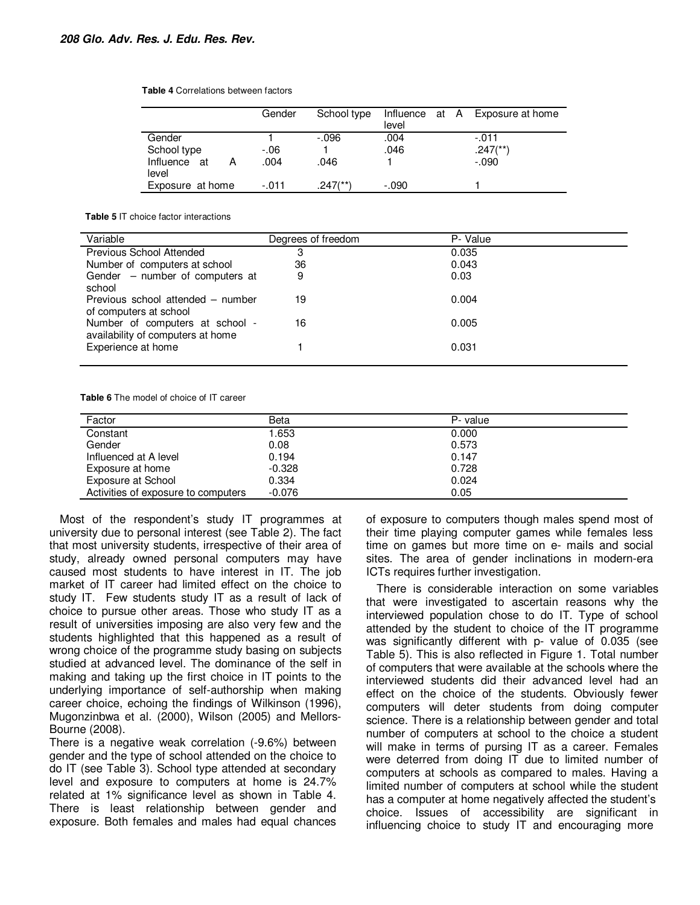**Table 4** Correlations between factors

|                                  | Gender        | School type            | Influence at A<br>level |  | Exposure at home                    |
|----------------------------------|---------------|------------------------|-------------------------|--|-------------------------------------|
| Gender                           |               | $-0.096$               | .004                    |  | $-.011$                             |
| School type<br>Influence at<br>А | $-06$<br>.004 | .046                   | .046                    |  | $.247$ <sup>(**)</sup> )<br>$-.090$ |
| level                            |               |                        |                         |  |                                     |
| Exposure at home                 | $-.011$       | $.247$ <sup>(**)</sup> | $-.090$                 |  |                                     |

**Table 5** IT choice factor interactions

| Variable                                                             | Degrees of freedom | P- Value |
|----------------------------------------------------------------------|--------------------|----------|
| Previous School Attended                                             | З                  | 0.035    |
| Number of computers at school                                        | 36                 | 0.043    |
| Gender – number of computers at<br>school                            | 9                  | 0.03     |
| Previous school attended – number<br>of computers at school          | 19                 | 0.004    |
| Number of computers at school -<br>availability of computers at home | 16                 | 0.005    |
| Experience at home                                                   |                    | 0.031    |

**Table 6** The model of choice of IT career

| Factor                              | Beta     | P- value |
|-------------------------------------|----------|----------|
| Constant                            | 1.653    | 0.000    |
| Gender                              | 0.08     | 0.573    |
| Influenced at A level               | 0.194    | 0.147    |
| Exposure at home                    | $-0.328$ | 0.728    |
| Exposure at School                  | 0.334    | 0.024    |
| Activities of exposure to computers | $-0.076$ | 0.05     |

Most of the respondent's study IT programmes at university due to personal interest (see Table 2). The fact that most university students, irrespective of their area of study, already owned personal computers may have caused most students to have interest in IT. The job market of IT career had limited effect on the choice to study IT. Few students study IT as a result of lack of choice to pursue other areas. Those who study IT as a result of universities imposing are also very few and the students highlighted that this happened as a result of wrong choice of the programme study basing on subjects studied at advanced level. The dominance of the self in making and taking up the first choice in IT points to the underlying importance of self-authorship when making career choice, echoing the findings of Wilkinson (1996), Mugonzinbwa et al. (2000), Wilson (2005) and Mellors-Bourne (2008).

There is a negative weak correlation (-9.6%) between gender and the type of school attended on the choice to do IT (see Table 3). School type attended at secondary level and exposure to computers at home is 24.7% related at 1% significance level as shown in Table 4. There is least relationship between gender and exposure. Both females and males had equal chances

of exposure to computers though males spend most of their time playing computer games while females less time on games but more time on e- mails and social sites. The area of gender inclinations in modern-era ICTs requires further investigation.

There is considerable interaction on some variables that were investigated to ascertain reasons why the interviewed population chose to do IT. Type of school attended by the student to choice of the IT programme was significantly different with p- value of 0.035 (see Table 5). This is also reflected in Figure 1. Total number of computers that were available at the schools where the interviewed students did their advanced level had an effect on the choice of the students. Obviously fewer computers will deter students from doing computer science. There is a relationship between gender and total number of computers at school to the choice a student will make in terms of pursing IT as a career. Females were deterred from doing IT due to limited number of computers at schools as compared to males. Having a limited number of computers at school while the student has a computer at home negatively affected the student's choice. Issues of accessibility are significant in influencing choice to study IT and encouraging more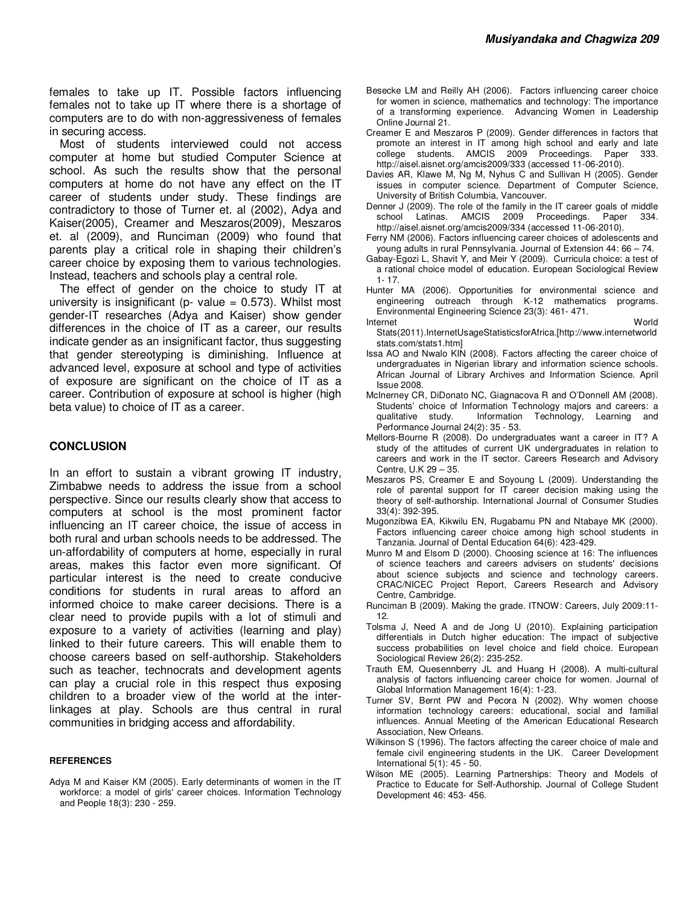females to take up IT. Possible factors influencing females not to take up IT where there is a shortage of computers are to do with non-aggressiveness of females in securing access.

Most of students interviewed could not access computer at home but studied Computer Science at school. As such the results show that the personal computers at home do not have any effect on the IT career of students under study. These findings are contradictory to those of Turner et. al (2002), Adya and Kaiser(2005), Creamer and Meszaros(2009), Meszaros et. al (2009), and Runciman (2009) who found that parents play a critical role in shaping their children's career choice by exposing them to various technologies. Instead, teachers and schools play a central role.

The effect of gender on the choice to study IT at university is insignificant ( $p$ - value = 0.573). Whilst most gender-IT researches (Adya and Kaiser) show gender differences in the choice of IT as a career, our results indicate gender as an insignificant factor, thus suggesting that gender stereotyping is diminishing. Influence at advanced level, exposure at school and type of activities of exposure are significant on the choice of IT as a career. Contribution of exposure at school is higher (high beta value) to choice of IT as a career.

#### **CONCLUSION**

In an effort to sustain a vibrant growing IT industry, Zimbabwe needs to address the issue from a school perspective. Since our results clearly show that access to computers at school is the most prominent factor influencing an IT career choice, the issue of access in both rural and urban schools needs to be addressed. The un-affordability of computers at home, especially in rural areas, makes this factor even more significant. Of particular interest is the need to create conducive conditions for students in rural areas to afford an informed choice to make career decisions. There is a clear need to provide pupils with a lot of stimuli and exposure to a variety of activities (learning and play) linked to their future careers. This will enable them to choose careers based on self-authorship. Stakeholders such as teacher, technocrats and development agents can play a crucial role in this respect thus exposing children to a broader view of the world at the interlinkages at play. Schools are thus central in rural communities in bridging access and affordability.

#### **REFERENCES**

- Besecke LM and Reilly AH (2006). Factors influencing career choice for women in science, mathematics and technology: The importance of a transforming experience. Advancing Women in Leadership Online Journal 21.
- Creamer E and Meszaros P (2009). Gender differences in factors that promote an interest in IT among high school and early and late college students. AMCIS 2009 Proceedings. Paper 333. http://aisel.aisnet.org/amcis2009/333 (accessed 11-06-2010).
- Davies AR, Klawe M, Ng M, Nyhus C and Sullivan H (2005). Gender issues in computer science. Department of Computer Science, University of British Columbia, Vancouver.
- Denner J (2009). The role of the family in the IT career goals of middle school Latinas. AMCIS 2009 Proceedings. Paper 334. http://aisel.aisnet.org/amcis2009/334 (accessed 11-06-2010).
- Ferry NM (2006). Factors influencing career choices of adolescents and young adults in rural Pennsylvania. Journal of Extension 44: 66 – 74.
- Gabay-Egozi L, Shavit Y, and Meir Y (2009). Curricula choice: a test of a rational choice model of education. European Sociological Review 1- 17.
- Hunter MA (2006). Opportunities for environmental science and engineering outreach through K-12 mathematics programs. Environmental Engineering Science 23(3): 461- 471.
- Internet World Stats(2011).InternetUsageStatisticsforAfrica.[http://www.internetworld stats.com/stats1.htm]
- Issa AO and Nwalo KIN (2008). Factors affecting the career choice of undergraduates in Nigerian library and information science schools. African Journal of Library Archives and Information Science. April Issue 2008.
- McInerney CR, DiDonato NC, Giagnacova R and O'Donnell AM (2008). Students' choice of Information Technology majors and careers: a qualitative study. Information Technology, Learning and Information Technology, Learning and Performance Journal 24(2): 35 - 53.
- Mellors-Bourne R (2008). Do undergraduates want a career in IT? A study of the attitudes of current UK undergraduates in relation to careers and work in the IT sector. Careers Research and Advisory Centre, U.K 29 – 35.
- Meszaros PS, Creamer E and Soyoung L (2009). Understanding the role of parental support for IT career decision making using the theory of self-authorship. International Journal of Consumer Studies 33(4): 392-395.
- Mugonzibwa EA, Kikwilu EN, Rugabamu PN and Ntabaye MK (2000). Factors influencing career choice among high school students in Tanzania. Journal of Dental Education 64(6): 423-429.
- Munro M and Elsom D (2000). Choosing science at 16: The influences of science teachers and careers advisers on students' decisions about science subjects and science and technology careers. CRAC/NICEC Project Report, Careers Research and Advisory Centre, Cambridge.
- Runciman B (2009). Making the grade. ITNOW: Careers, July 2009:11- 12.
- Tolsma J, Need A and de Jong U (2010). Explaining participation differentials in Dutch higher education: The impact of subjective success probabilities on level choice and field choice. European Sociological Review 26(2): 235-252.
- Trauth EM, Quesennberry JL and Huang H (2008). A multi-cultural analysis of factors influencing career choice for women. Journal of Global Information Management 16(4): 1-23.
- Turner SV, Bernt PW and Pecora N (2002). Why women choose information technology careers: educational, social and familial influences. Annual Meeting of the American Educational Research Association, New Orleans.
- Wilkinson S (1996). The factors affecting the career choice of male and female civil engineering students in the UK. Career Development International 5(1): 45 - 50.
- Wilson ME (2005). Learning Partnerships: Theory and Models of Practice to Educate for Self-Authorship. Journal of College Student Development 46: 453- 456.

Adya M and Kaiser KM (2005). Early determinants of women in the IT workforce: a model of girls' career choices. Information Technology and People 18(3): 230 - 259.